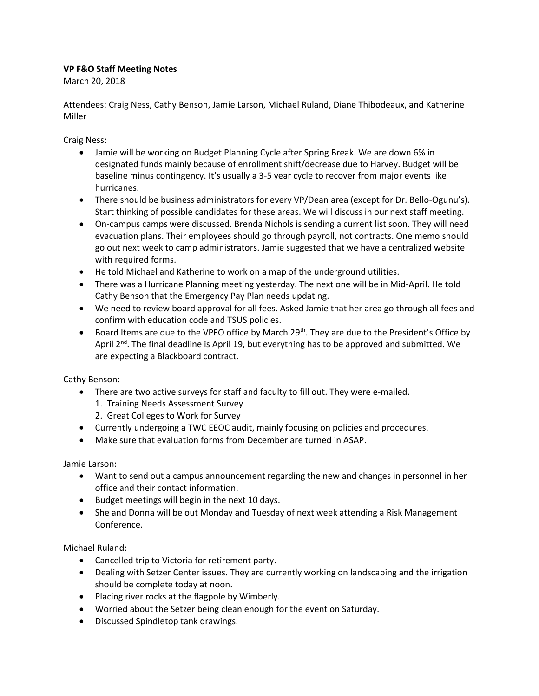## **VP F&O Staff Meeting Notes**

March 20, 2018

Attendees: Craig Ness, Cathy Benson, Jamie Larson, Michael Ruland, Diane Thibodeaux, and Katherine Miller

Craig Ness:

- Jamie will be working on Budget Planning Cycle after Spring Break. We are down 6% in designated funds mainly because of enrollment shift/decrease due to Harvey. Budget will be baseline minus contingency. It's usually a 3-5 year cycle to recover from major events like hurricanes.
- There should be business administrators for every VP/Dean area (except for Dr. Bello-Ogunu's). Start thinking of possible candidates for these areas. We will discuss in our next staff meeting.
- On-campus camps were discussed. Brenda Nichols is sending a current list soon. They will need evacuation plans. Their employees should go through payroll, not contracts. One memo should go out next week to camp administrators. Jamie suggested that we have a centralized website with required forms.
- He told Michael and Katherine to work on a map of the underground utilities.
- There was a Hurricane Planning meeting yesterday. The next one will be in Mid-April. He told Cathy Benson that the Emergency Pay Plan needs updating.
- We need to review board approval for all fees. Asked Jamie that her area go through all fees and confirm with education code and TSUS policies.
- $\bullet$  Board Items are due to the VPFO office by March 29<sup>th</sup>. They are due to the President's Office by April 2<sup>nd</sup>. The final deadline is April 19, but everything has to be approved and submitted. We are expecting a Blackboard contract.

Cathy Benson:

- There are two active surveys for staff and faculty to fill out. They were e-mailed.
	- 1. Training Needs Assessment Survey
	- 2. Great Colleges to Work for Survey
- Currently undergoing a TWC EEOC audit, mainly focusing on policies and procedures.
- Make sure that evaluation forms from December are turned in ASAP.

Jamie Larson:

- Want to send out a campus announcement regarding the new and changes in personnel in her office and their contact information.
- Budget meetings will begin in the next 10 days.
- She and Donna will be out Monday and Tuesday of next week attending a Risk Management Conference.

Michael Ruland:

- Cancelled trip to Victoria for retirement party.
- Dealing with Setzer Center issues. They are currently working on landscaping and the irrigation should be complete today at noon.
- Placing river rocks at the flagpole by Wimberly.
- Worried about the Setzer being clean enough for the event on Saturday.
- Discussed Spindletop tank drawings.